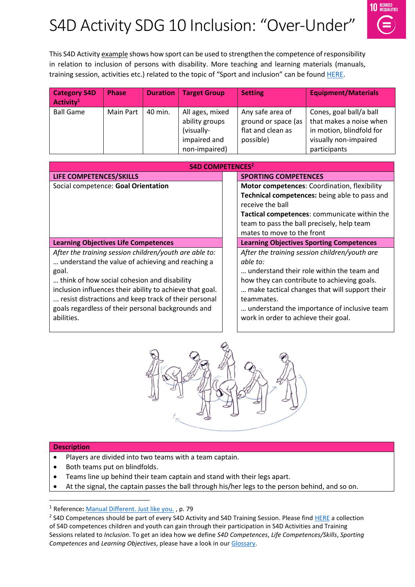# S4D Activity SDG 10 Inclusion: "Over-Under"



This S4D Activity example shows how sport can be used to strengthen the competence of responsibility in relation to inclusion of persons with disability. More teaching and learning materials (manuals, training session, activities etc.) related to the topic of "Sport and inclusion" can be found [HERE.](https://www.sport-for-development.com/topic-collection?id=19#cat19)

| <b>Category S4D</b><br>Activity <sup>1</sup> | <b>Phase</b> | <b>Duration</b> | <b>Target Group</b>                                                              | <b>Setting</b>                                                            | <b>Equipment/Materials</b>                                                                                              |
|----------------------------------------------|--------------|-----------------|----------------------------------------------------------------------------------|---------------------------------------------------------------------------|-------------------------------------------------------------------------------------------------------------------------|
| <b>Ball Game</b>                             | Main Part    | 40 min.         | All ages, mixed<br>ability groups<br>(visually-<br>impaired and<br>non-impaired) | Any safe area of<br>ground or space (as<br>flat and clean as<br>possible) | Cones, goal ball/a ball<br>that makes a noise when<br>in motion, blindfold for<br>visually non-impaired<br>participants |

| <b>S4D COMPETENCES<sup>2</sup></b>                                                                                                                                                                                                                                                                                                                         |                                                                                                                                                                                                                                                                                                             |  |  |  |  |
|------------------------------------------------------------------------------------------------------------------------------------------------------------------------------------------------------------------------------------------------------------------------------------------------------------------------------------------------------------|-------------------------------------------------------------------------------------------------------------------------------------------------------------------------------------------------------------------------------------------------------------------------------------------------------------|--|--|--|--|
| LIFE COMPETENCES/SKILLS                                                                                                                                                                                                                                                                                                                                    | <b>SPORTING COMPETENCES</b>                                                                                                                                                                                                                                                                                 |  |  |  |  |
| Social competence: Goal Orientation                                                                                                                                                                                                                                                                                                                        | Motor competences: Coordination, flexibility<br>Technical competences: being able to pass and<br>receive the ball<br>Tactical competences: communicate within the<br>team to pass the ball precisely, help team<br>mates to move to the front                                                               |  |  |  |  |
| <b>Learning Objectives Life Competences</b>                                                                                                                                                                                                                                                                                                                | <b>Learning Objectives Sporting Competences</b>                                                                                                                                                                                                                                                             |  |  |  |  |
| After the training session children/youth are able to:<br>understand the value of achieving and reaching a<br>goal.<br>think of how social cohesion and disability<br>inclusion influences their ability to achieve that goal.<br>resist distractions and keep track of their personal<br>goals regardless of their personal backgrounds and<br>abilities. | After the training session children/youth are<br>able to:<br>understand their role within the team and<br>how they can contribute to achieving goals.<br>make tactical changes that will support their<br>teammates.<br>understand the importance of inclusive team<br>work in order to achieve their goal. |  |  |  |  |



#### **Description**

 $\overline{a}$ 

- Players are divided into two teams with a team captain.
- Both teams put on blindfolds.
- Teams line up behind their team captain and stand with their legs apart.
- At the signal, the captain passes the ball through his/her legs to the person behind, and so on.

<sup>1</sup> Reference**:** [Manual Different. Just like you.](https://www.icsspe.org/sites/default/files/Different.%20Just%20like%20you.pdf) , p. 79

<sup>&</sup>lt;sup>2</sup> S4D Competences should be part of every S4D Activity and S4D Training Session. Please fin[d HERE](https://www.sport-for-development.com/imglib/downloads/Kompetenzen%20&%20IIFs/Competences%20Children%20&%20Youth%20FRENCH/ENGLISH/giz-dshs2022-en-sdg10-competences-children-and-youth-social-cohesion-and-inclusion.pdf) a collection of S4D competences children and youth can gain through their participation in S4D Activities and Training Sessions related to *Inclusion*. To get an idea how we define *S4D Competences*, *Life Competences/Skills*, *Sporting Competences* and *Learning Objectives*, please have a look in our [Glossary.](https://www.sport-for-development.com/imglib/downloads/Guidelines/giz-dshs2020-en-s4d-toolkit-glossary.pdf)